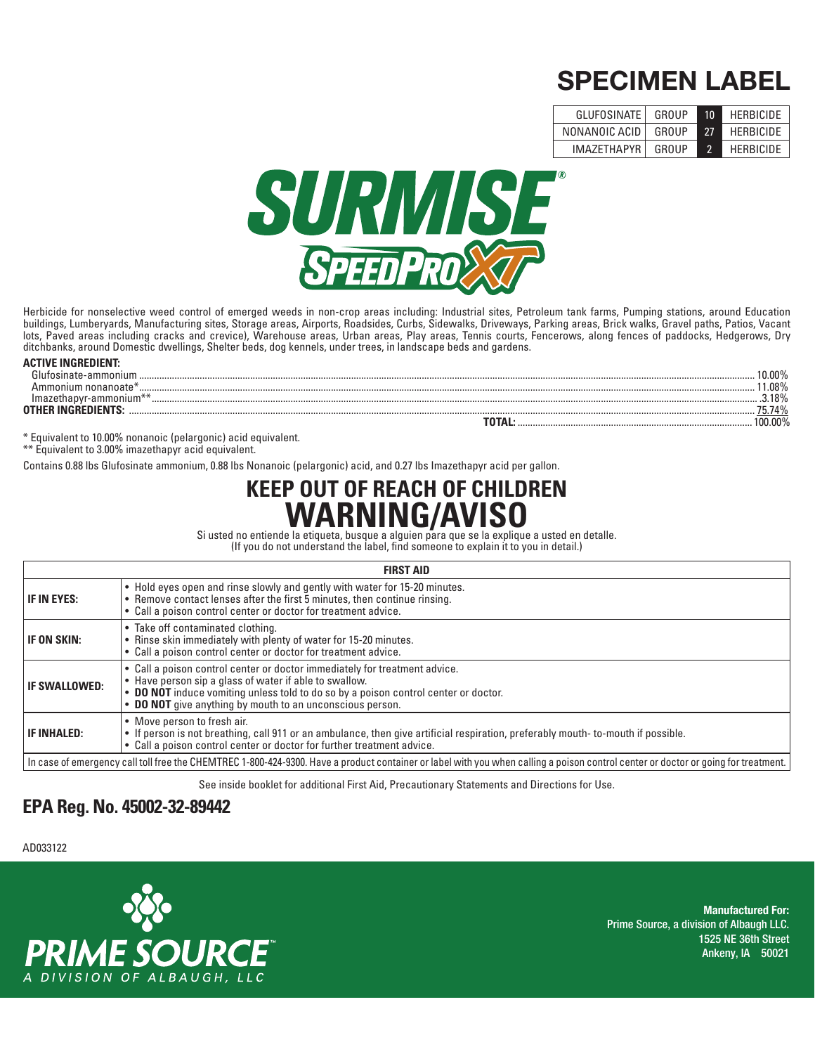## **SPECIMEN LABEL**

| <b>GLUFOSINATE</b> | GROUP | 10 | <b>HERBICIDE</b> |
|--------------------|-------|----|------------------|
| NONANOIC ACID      | GROUP | 27 | <b>HERBICIDE</b> |
| <b>IMA7FTHAPYR</b> | GROUP |    | <b>HERBICIDE</b> |



Herbicide for nonselective weed control of emerged weeds in non-crop areas including: Industrial sites, Petroleum tank farms, Pumping stations, around Education buildings, Lumberyards, Manufacturing sites, Storage areas, Airports, Roadsides, Curbs, Sidewalks, Driveways, Parking areas, Brick walks, Gravel paths, Patios, Vacant lots, Paved areas including cracks and crevice), Warehouse areas, Urban areas, Play areas, Tennis courts, Fencerows, along fences of paddocks, Hedgerows, Dry ditchbanks, around Domestic dwellings, Shelter beds, dog kennels, under trees, in landscape beds and gardens.

#### **ACTIVE INGREDIENT:**

| Glufosinate-ammonium                                              | 0.00%    |
|-------------------------------------------------------------------|----------|
|                                                                   | .08%     |
| ammoniu<br>um.<br>ma:                                             | $3.18\%$ |
| <b>OTHER INGREDIENTS</b>                                          | 5.74%    |
|                                                                   | 00.00%   |
| * Equivalent to 10,000 increased a line legislate of a subject to |          |

\* Equivalent to 10.00% nonanoic (pelargonic) acid equivalent.

\*\* Equivalent to 3.00% imazethapyr acid equivalent.

Contains 0.88 lbs Glufosinate ammonium, 0.88 lbs Nonanoic (pelargonic) acid, and 0.27 lbs Imazethapyr acid per gallon.

# **KEEP ON A RAINCAVISO**

Si usted no entiende la etiqueta, busque a alguien para que se la explique a usted en detalle.<br>(If you do not understand the label, find someone to explain it to you in detail.)

(If you do not understand the label, find someone to explain it to you in detail.)

| <b>FIRST AID</b>     |                                                                                                                                                                                                                                                                                          |  |
|----------------------|------------------------------------------------------------------------------------------------------------------------------------------------------------------------------------------------------------------------------------------------------------------------------------------|--|
| <b>IF IN EYES:</b>   | . Hold eyes open and rinse slowly and gently with water for 15-20 minutes.<br>• Remove contact lenses after the first 5 minutes, then continue rinsing.<br>• Call a poison control center or doctor for treatment advice.                                                                |  |
| <b>IF ON SKIN:</b>   | • Take off contaminated clothing.<br>• Rinse skin immediately with plenty of water for 15-20 minutes.<br>• Call a poison control center or doctor for treatment advice.                                                                                                                  |  |
| <b>IF SWALLOWED:</b> | • Call a poison control center or doctor immediately for treatment advice.<br>• Have person sip a glass of water if able to swallow.<br>. DO NOT induce vomiting unless told to do so by a poison control center or doctor.<br>• DO NOT give anything by mouth to an unconscious person. |  |
| <b>IF INHALED:</b>   | • Move person to fresh air.<br>• If person is not breathing, call 911 or an ambulance, then give artificial respiration, preferably mouth-to-mouth if possible.<br>• Call a poison control center or doctor for further treatment advice.                                                |  |
|                      | In case of emergency call toll free the CHEMTREC 1-800-424-9300. Have a product container or label with you when calling a poison control center or doctor or going for treatment.                                                                                                       |  |

See inside booklet for additional First Aid, Precautionary Statements and Directions for Use.

# **EPA Reg. No. 45002-32-89442**

**EPA Est. No. 42750-MO-002** AD033122



**Manufactured For: Prime Source, a division of Albaugh LLC. 1525 NE 36th Street Ankeny, IA 50021**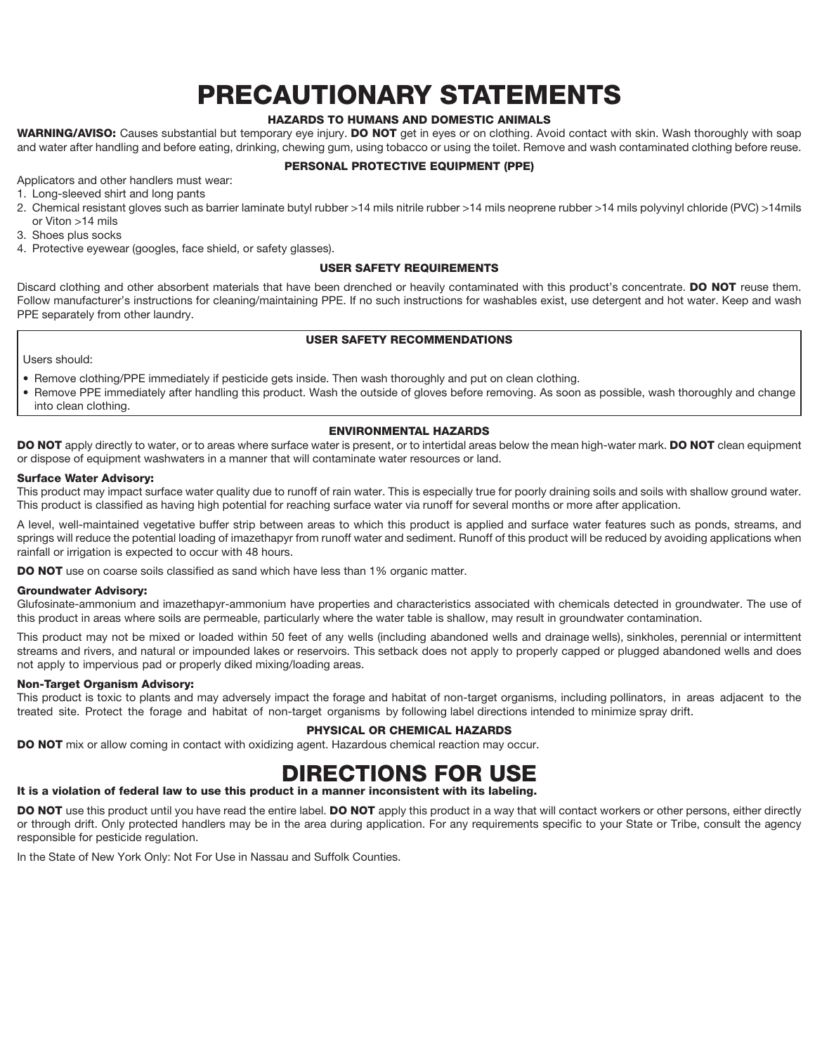### **PRECAUTIONARY STATEMENTS**

#### **HAZARDS TO HUMANS AND DOMESTIC ANIMALS**

**WARNING/AVISO:** Causes substantial but temporary eye injury. **DO NOT** get in eyes or on clothing. Avoid contact with skin. Wash thoroughly with soap and water after handling and before eating, drinking, chewing gum, using tobacco or using the toilet. Remove and wash contaminated clothing before reuse.

#### **PERSONAL PROTECTIVE EQUIPMENT (PPE)**

Applicators and other handlers must wear:

- 1. Long-sleeved shirt and long pants
- 2. Chemical resistant gloves such as barrier laminate butyl rubber >14 mils nitrile rubber >14 mils neoprene rubber >14 mils polyvinyl chloride (PVC) >14mils or Viton >14 mils
- 3. Shoes plus socks
- 4. Protective eyewear (googles, face shield, or safety glasses).

#### **USER SAFETY REQUIREMENTS**

Discard clothing and other absorbent materials that have been drenched or heavily contaminated with this product's concentrate. **DO NOT** reuse them. Follow manufacturer's instructions for cleaning/maintaining PPE. If no such instructions for washables exist, use detergent and hot water. Keep and wash PPE separately from other laundry.

#### **USER SAFETY RECOMMENDATIONS**

Users should:

- Remove clothing/PPE immediately if pesticide gets inside. Then wash thoroughly and put on clean clothing.
- Remove PPE immediately after handling this product. Wash the outside of gloves before removing. As soon as possible, wash thoroughly and change into clean clothing.

#### **ENVIRONMENTAL HAZARDS**

**DO NOT** apply directly to water, or to areas where surface water is present, or to intertidal areas below the mean high-water mark. **DO NOT** clean equipment or dispose of equipment washwaters in a manner that will contaminate water resources or land.

#### **Surface Water Advisory:**

This product may impact surface water quality due to runoff of rain water. This is especially true for poorly draining soils and soils with shallow ground water. This product is classified as having high potential for reaching surface water via runoff for several months or more after application.

A level, well-maintained vegetative buffer strip between areas to which this product is applied and surface water features such as ponds, streams, and springs will reduce the potential loading of imazethapyr from runoff water and sediment. Runoff of this product will be reduced by avoiding applications when rainfall or irrigation is expected to occur with 48 hours.

**DO NOT** use on coarse soils classified as sand which have less than 1% organic matter.

#### **Groundwater Advisory:**

Glufosinate- ammonium and imazethapyr-ammonium have properties and characteristics associated with chemicals detected in groundwater. The use of this product in areas where soils are permeable, particularly where the water table is shallow, may result in groundwater contamination.

This product may not be mixed or loaded within 50 feet of any wells (including abandoned wells and drainage wells), sinkholes, perennial or intermittent streams and rivers, and natural or impounded lakes or reservoirs. This setback does not apply to properly capped or plugged abandoned wells and does not apply to impervious pad or properly diked mixing/loading areas.

#### **Non-Target Organism Advisory:**

This product is toxic to plants and may adversely impact the forage and habitat of non-target organisms, including pollinators, in areas adjacent to the treated site. Protect the forage and habitat of non-target organisms by following label directions intended to minimize spray drift.

#### **PHYSICAL OR CHEMICAL HAZARDS**

**DO NOT** mix or allow coming in contact with oxidizing agent. Hazardous chemical reaction may occur.

### **DIRECTIONS FOR USE**

#### **It is a violation of federal law to use this product in a manner inconsistent with its labeling.**

**DO NOT** use this product until you have read the entire label. **DO NOT** apply this product in a way that will contact workers or other persons, either directly or through drift. Only protected handlers may be in the area during application. For any requirements specific to your State or Tribe, consult the agency responsible for pesticide regulation.

In the State of New York Only: Not For Use in Nassau and Suffolk Counties.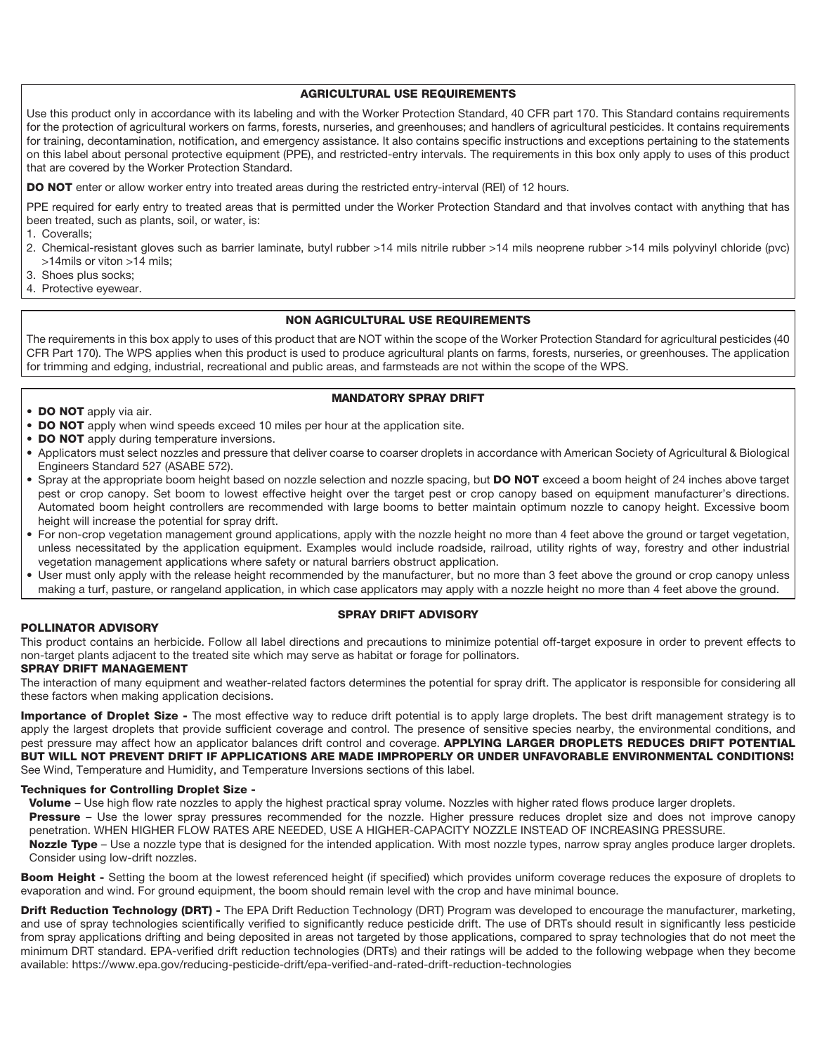#### **AGRICULTURAL USE REQUIREMENTS**

Use this product only in accordance with its labeling and with the Worker Protection Standard, 40 CFR part 170. This Standard contains requirements for the protection of agricultural workers on farms, forests, nurseries, and greenhouses; and handlers of agricultural pesticides. It contains requirements for training, decontamination, notification, and emergency assistance. It also contains specific instructions and exceptions pertaining to the statements on this label about personal protective equipment (PPE), and restricted-entry intervals. The requirements in this box only apply to uses of this product that are covered by the Worker Protection Standard.

**DO NOT** enter or allow worker entry into treated areas during the restricted entry-interval (REI) of 12 hours.

PPE required for early entry to treated areas that is permitted under the Worker Protection Standard and that involves contact with anything that has been treated, such as plants, soil, or water, is:

- 1. Coveralls;
- 2. Chemical-resistant gloves such as barrier laminate, butyl rubber >14 mils nitrile rubber >14 mils neoprene rubber >14 mils polyvinyl chloride (pvc) >14mils or viton >14 mils;
- 3. Shoes plus socks;
- 4. Protective eyewear.

#### **NON AGRICULTURAL USE REQUIREMENTS**

The requirements in this box apply to uses of this product that are NOT within the scope of the Worker Protection Standard for agricultural pesticides (40 CFR Part 170). The WPS applies when this product is used to produce agricultural plants on farms, forests, nurseries, or greenhouses. The application for trimming and edging, industrial, recreational and public areas, and farmsteads are not within the scope of the WPS.

#### **MANDATORY SPRAY DRIFT**

- **DO NOT** apply via air.
- **DO NOT** apply when wind speeds exceed 10 miles per hour at the application site.
- **DO NOT** apply during temperature inversions.
- Applicators must select nozzles and pressure that deliver coarse to coarser droplets in accordance with American Society of Agricultural & Biological Engineers Standard 527 (ASABE 572).
- Spray at the appropriate boom height based on nozzle selection and nozzle spacing, but **DO NOT** exceed a boom height of 24 inches above target pest or crop canopy. Set boom to lowest effective height over the target pest or crop canopy based on equipment manufacturer's directions. Automated boom height controllers are recommended with large booms to better maintain optimum nozzle to canopy height. Excessive boom height will increase the potential for spray drift.
- For non-crop vegetation management ground applications, apply with the nozzle height no more than 4 feet above the ground or target vegetation, unless necessitated by the application equipment. Examples would include roadside, railroad, utility rights of way, forestry and other industrial vegetation management applications where safety or natural barriers obstruct application.
- User must only apply with the release height recommended by the manufacturer, but no more than 3 feet above the ground or crop canopy unless making a turf, pasture, or rangeland application, in which case applicators may apply with a nozzle height no more than 4 feet above the ground.

#### **SPRAY DRIFT ADVISORY**

#### **POLLINATOR ADVISORY**

This product contains an herbicide. Follow all label directions and precautions to minimize potential off-target exposure in order to prevent effects to non-target plants adjacent to the treated site which may serve as habitat or forage for pollinators.

#### **SPRAY DRIFT MANAGEMENT**

The interaction of many equipment and weather-related factors determines the potential for spray drift. The applicator is responsible for considering all these factors when making application decisions.

**Importance of Droplet Size -** The most effective way to reduce drift potential is to apply large droplets. The best drift management strategy is to apply the largest droplets that provide sufficient coverage and control. The presence of sensitive species nearby, the environmental conditions, and pest pressure may affect how an applicator balances drift control and coverage. **APPLYING LARGER DROPLETS REDUCES DRIFT POTENTIAL BUT WILL NOT PREVENT DRIFT IF APPLICATIONS ARE MADE IMPROPERLY OR UNDER UNFAVORABLE ENVIRONMENTAL CONDITIONS!** See Wind, Temperature and Humidity, and Temperature Inversions sections of this label.

#### **Techniques for Controlling Droplet Size -**

Volume - Use high flow rate nozzles to apply the highest practical spray volume. Nozzles with higher rated flows produce larger droplets.

**Pressure** – Use the lower spray pressures recommended for the nozzle. Higher pressure reduces droplet size and does not improve canopy penetration. WHEN HIGHER FLOW RATES ARE NEEDED, USE A HIGHER-CAPACITY NOZZLE INSTEAD OF INCREASING PRESSURE.

**Nozzle Type** – Use a nozzle type that is designed for the intended application. With most nozzle types, narrow spray angles produce larger droplets. Consider using low-drift nozzles.

Boom Height - Setting the boom at the lowest referenced height (if specified) which provides uniform coverage reduces the exposure of droplets to evaporation and wind. For ground equipment, the boom should remain level with the crop and have minimal bounce.

**Drift Reduction Technology (DRT) -** The EPA Drift Reduction Technology (DRT) Program was developed to encourage the manufacturer, marketing, and use of spray technologies scientifically verified to significantly reduce pesticide drift. The use of DRTs should result in significantly less pesticide from spray applications drifting and being deposited in areas not targeted by those applications, compared to spray technologies that do not meet the minimum DRT standard. EPA-verified drift reduction technologies (DRTs) and their ratings will be added to the following webpage when they become available: https://www.epa.gov/reducing-pesticide-drift/epa-verified-and-rated-drift-reduction-technologies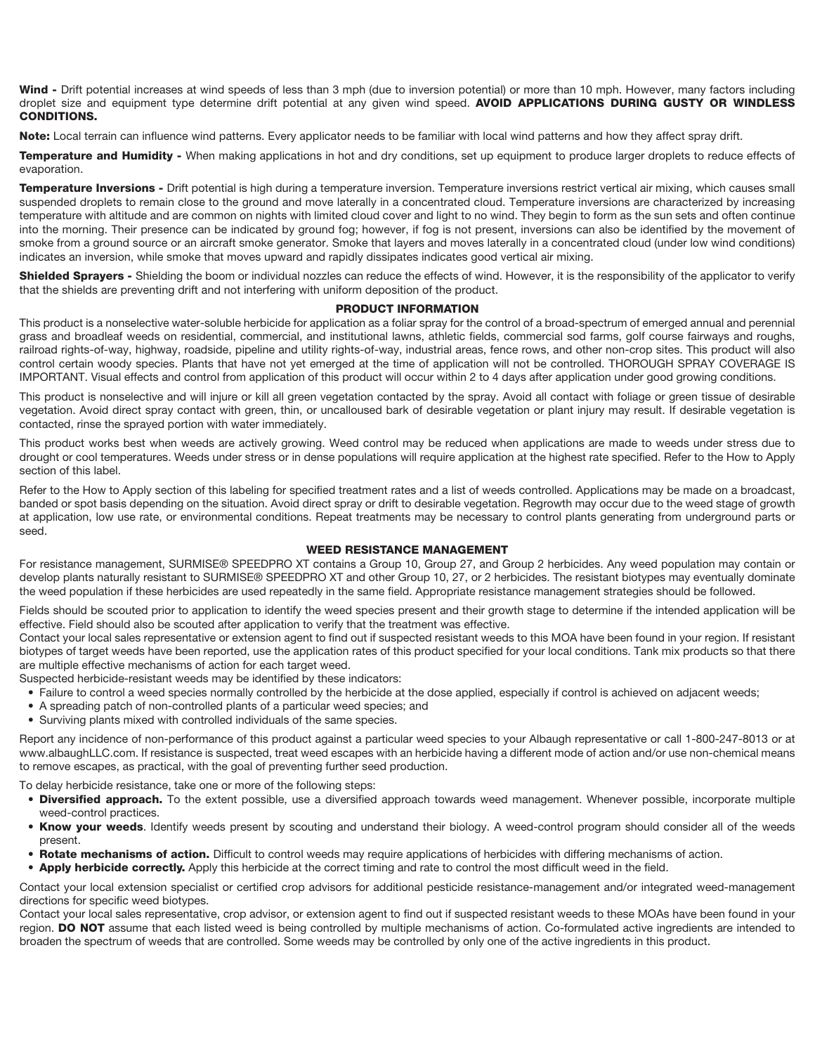**Wind -** Drift potential increases at wind speeds of less than 3 mph (due to inversion potential) or more than 10 mph. However, many factors including droplet size and equipment type determine drift potential at any given wind speed. **AVOID APPLICATIONS DURING GUSTY OR WINDLESS CONDITIONS.**

Note: Local terrain can influence wind patterns. Every applicator needs to be familiar with local wind patterns and how they affect spray drift.

**Temperature and Humidity -** When making applications in hot and dry conditions, set up equipment to produce larger droplets to reduce effects of evaporation.

**Temperature Inversions -** Drift potential is high during a temperature inversion. Temperature inversions restrict vertical air mixing, which causes small suspended droplets to remain close to the ground and move laterally in a concentrated cloud. Temperature inversions are characterized by increasing temperature with altitude and are common on nights with limited cloud cover and light to no wind. They begin to form as the sun sets and often continue into the morning. Their presence can be indicated by ground fog; however, if fog is not present, inversions can also be identified by the movement of smoke from a ground source or an aircraft smoke generator. Smoke that layers and moves laterally in a concentrated cloud (under low wind conditions) indicates an inversion, while smoke that moves upward and rapidly dissipates indicates good vertical air mixing.

Shielded Sprayers - Shielding the boom or individual nozzles can reduce the effects of wind. However, it is the responsibility of the applicator to verify that the shields are preventing drift and not interfering with uniform deposition of the product.

#### **PRODUCT INFORMATION**

This product is a nonselective water-soluble herbicide for application as a foliar spray for the control of a broad-spectrum of emerged annual and perennial grass and broadleaf weeds on residential, commercial, and institutional lawns, athletic fields, commercial sod farms, golf course fairways and roughs, railroad rights-of-way, highway, roadside, pipeline and utility rights-of-way, industrial areas, fence rows, and other non-crop sites. This product will also control certain woody species. Plants that have not yet emerged at the time of application will not be controlled. THOROUGH SPRAY COVERAGE IS IMPORTANT. Visual effects and control from application of this product will occur within 2 to 4 days after application under good growing conditions.

This product is nonselective and will injure or kill all green vegetation contacted by the spray. Avoid all contact with foliage or green tissue of desirable vegetation. Avoid direct spray contact with green, thin, or uncalloused bark of desirable vegetation or plant injury may result. If desirable vegetation is contacted, rinse the sprayed portion with water immediately.

This product works best when weeds are actively growing. Weed control may be reduced when applications are made to weeds under stress due to drought or cool temperatures. Weeds under stress or in dense populations will require application at the highest rate specified. Refer to the How to Apply section of this label.

Refer to the How to Apply section of this labeling for specified treatment rates and a list of weeds controlled. Applications may be made on a broadcast, banded or spot basis depending on the situation. Avoid direct spray or drift to desirable vegetation. Regrowth may occur due to the weed stage of growth at application, low use rate, or environmental conditions. Repeat treatments may be necessary to control plants generating from underground parts or seed.

#### **WEED RESISTANCE MANAGEMENT**

For resistance management, SURMISE® SPEEDPRO XT contains a Group 10, Group 27, and Group 2 herbicides. Any weed population may contain or develop plants naturally resistant to SURMISE® SPEEDPRO XT and other Group 10, 27, or 2 herbicides. The resistant biotypes may eventually dominate the weed population if these herbicides are used repeatedly in the same field. Appropriate resistance management strategies should be followed.

Fields should be scouted prior to application to identify the weed species present and their growth stage to determine if the intended application will be effective. Field should also be scouted after application to verify that the treatment was effective.

Contact your local sales representative or extension agent to find out if suspected resistant weeds to this MOA have been found in your region. If resistant biotypes of target weeds have been reported, use the application rates of this product specified for your local conditions. Tank mix products so that there are multiple effective mechanisms of action for each target weed.

Suspected herbicide-resistant weeds may be identified by these indicators:

- Failure to control a weed species normally controlled by the herbicide at the dose applied, especially if control is achieved on adjacent weeds;
- A spreading patch of non-controlled plants of a particular weed species; and
- Surviving plants mixed with controlled individuals of the same species.

Report any incidence of non-performance of this product against a particular weed species to your Albaugh representative or call 1-800-247-8013 or at www.albaughLLC.com. If resistance is suspected, treat weed escapes with an herbicide having a different mode of action and/or use non-chemical means to remove escapes, as practical, with the goal of preventing further seed production.

To delay herbicide resistance, take one or more of the following steps:

- Diversified approach. To the extent possible, use a diversified approach towards weed management. Whenever possible, incorporate multiple weed-control practices.
- **Know your weeds**. Identify weeds present by scouting and understand their biology. A weed-control program should consider all of the weeds present.
- Rotate mechanisms of action. Difficult to control weeds may require applications of herbicides with differing mechanisms of action.
- **Apply herbicide correctly.** Apply this herbicide at the correct timing and rate to control the most difficult weed in the field.

Contact your local extension specialist or certified crop advisors for additional pesticide resistance-management and/or integrated weed-management directions for specific weed biotypes.

Contact your local sales representative, crop advisor, or extension agent to find out if suspected resistant weeds to these MOAs have been found in your region. **DO NOT** assume that each listed weed is being controlled by multiple mechanisms of action. Co-formulated active ingredients are intended to broaden the spectrum of weeds that are controlled. Some weeds may be controlled by only one of the active ingredients in this product.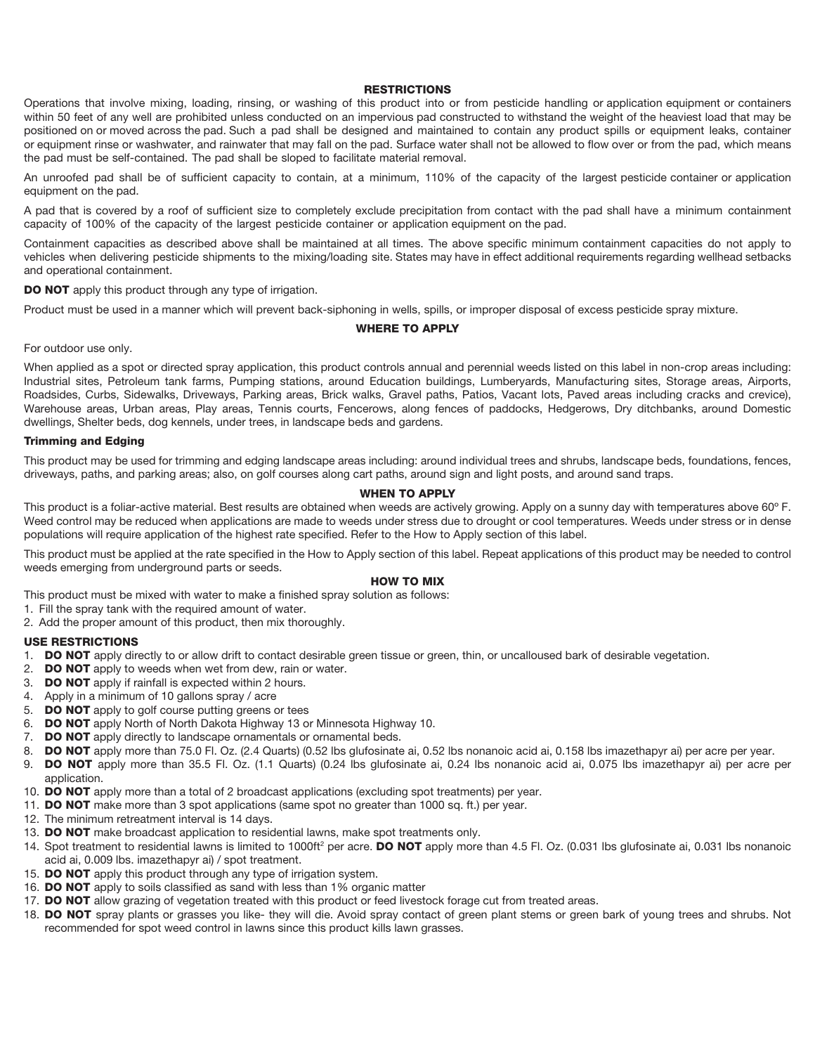#### **RESTRICTIONS**

Operations that involve mixing, loading, rinsing, or washing of this product into or from pesticide handling or application equipment or containers within 50 feet of any well are prohibited unless conducted on an impervious pad constructed to withstand the weight of the heaviest load that may be positioned on or moved across the pad. Such a pad shall be designed and maintained to contain any product spills or equipment leaks, container or equipment rinse or washwater, and rainwater that may fall on the pad. Surface water shall not be allowed to flow over or from the pad, which means the pad must be self-contained. The pad shall be sloped to facilitate material removal.

An unroofed pad shall be of sufficient capacity to contain, at a minimum, 110% of the capacity of the largest pesticide container or application equipment on the pad.

A pad that is covered by a roof of sufficient size to completely exclude precipitation from contact with the pad shall have a minimum containment capacity of 100% of the capacity of the largest pesticide container or application equipment on the pad.

Containment capacities as described above shall be maintained at all times. The above specific minimum containment capacities do not apply to vehicles when delivering pesticide shipments to the mixing/loading site. States may have in effect additional requirements regarding wellhead setbacks and operational containment.

**DO NOT** apply this product through any type of irrigation.

Product must be used in a manner which will prevent back-siphoning in wells, spills, or improper disposal of excess pesticide spray mixture.

#### **WHERE TO APPLY**

#### For outdoor use only.

When applied as a spot or directed spray application, this product controls annual and perennial weeds listed on this label in non-crop areas including: Industrial sites, Petroleum tank farms, Pumping stations, around Education buildings, Lumberyards, Manufacturing sites, Storage areas, Airports, Roadsides, Curbs, Sidewalks, Driveways, Parking areas, Brick walks, Gravel paths, Patios, Vacant lots, Paved areas including cracks and crevice), Warehouse areas, Urban areas, Play areas, Tennis courts, Fencerows, along fences of paddocks, Hedgerows, Dry ditchbanks, around Domestic dwellings, Shelter beds, dog kennels, under trees, in landscape beds and gardens.

#### **Trimming and Edging**

This product may be used for trimming and edging landscape areas including: around individual trees and shrubs, landscape beds, foundations, fences, driveways, paths, and parking areas; also, on golf courses along cart paths, around sign and light posts, and around sand traps.

#### **WHEN TO APPLY**

This product is a foliar-active material. Best results are obtained when weeds are actively growing. Apply on a sunny day with temperatures above 60° F. Weed control may be reduced when applications are made to weeds under stress due to drought or cool temperatures. Weeds under stress or in dense populations will require application of the highest rate specified. Refer to the How to Apply section of this label.

This product must be applied at the rate specified in the How to Apply section of this label. Repeat applications of this product may be needed to control weeds emerging from underground parts or seeds.

#### **HOW TO MIX**

This product must be mixed with water to make a finished spray solution as follows:

- 1. Fill the spray tank with the required amount of water.
- 2. Add the proper amount of this product, then mix thoroughly.

#### **USE RESTRICTIONS**

- 1. **DO NOT** apply directly to or allow drift to contact desirable green tissue or green, thin, or uncalloused bark of desirable vegetation.
- 2. **DO NOT** apply to weeds when wet from dew, rain or water.
- 3. **DO NOT** apply if rainfall is expected within 2 hours.
- 4. Apply in a minimum of 10 gallons spray / acre
- 5. **DO NOT** apply to golf course putting greens or tees
- 6. **DO NOT** apply North of North Dakota Highway 13 or Minnesota Highway 10.
- 7. **DO NOT** apply directly to landscape ornamentals or ornamental beds.
- 8. **DO NOT** apply more than 75.0 Fl. Oz. (2.4 Quarts) (0.52 lbs glufosinate ai, 0.52 lbs nonanoic acid ai, 0.158 lbs imazethapyr ai) per acre per year.
- 9. **DO NOT** apply more than 35.5 Fl. Oz. (1.1 Quarts) (0.24 lbs glufosinate ai, 0.24 lbs nonanoic acid ai, 0.075 lbs imazethapyr ai) per acre per application.
- 10. **DO NOT** apply more than a total of 2 broadcast applications (excluding spot treatments) per year.
- 11. **DO NOT** make more than 3 spot applications (same spot no greater than 1000 sq. ft.) per year.
- 12. The minimum retreatment interval is 14 days.
- 13. **DO NOT** make broadcast application to residential lawns, make spot treatments only.
- 14. Spot treatment to residential lawns is limited to 1000ft<sup>2</sup> per acre. **DO NOT** apply more than 4.5 Fl. Oz. (0.031 lbs glufosinate ai, 0.031 lbs nonanoic acid ai, 0.009 lbs. imazethapyr ai) / spot treatment.
- 15. **DO NOT** apply this product through any type of irrigation system.
- 16. **DO NOT** apply to soils classified as sand with less than 1% organic matter
- 17. **DO NOT** allow grazing of vegetation treated with this product or feed livestock forage cut from treated areas.
- 18. **DO NOT** spray plants or grasses you like- they will die. Avoid spray contact of green plant stems or green bark of young trees and shrubs. Not recommended for spot weed control in lawns since this product kills lawn grasses.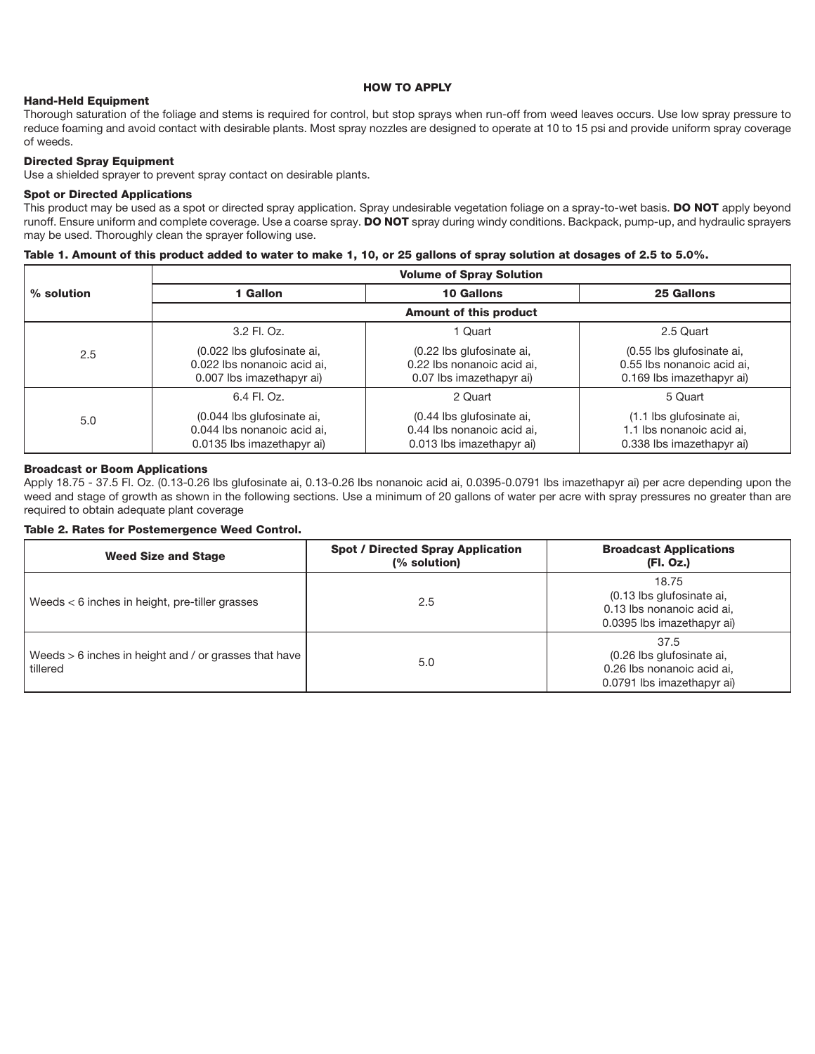#### **HOW TO APPLY**

#### **Hand-Held Equipment**

Thorough saturation of the foliage and stems is required for control, but stop sprays when run-off from weed leaves occurs. Use low spray pressure to reduce foaming and avoid contact with desirable plants. Most spray nozzles are designed to operate at 10 to 15 psi and provide uniform spray coverage of weeds.

#### **Directed Spray Equipment**

Use a shielded sprayer to prevent spray contact on desirable plants.

#### **Spot or Directed Applications**

This product may be used as a spot or directed spray application. Spray undesirable vegetation foliage on a spray-to-wet basis. **DO NOT** apply beyond runoff. Ensure uniform and complete coverage. Use a coarse spray. **DO NOT** spray during windy conditions. Backpack, pump-up, and hydraulic sprayers may be used. Thoroughly clean the sprayer following use.

#### **Table 1. Amount of this product added to water to make 1, 10, or 25 gallons of spray solution at dosages of 2.5 to 5.0%.**

|              | <b>Volume of Spray Solution</b>                                                         |                                                                                      |                                                                                      |  |
|--------------|-----------------------------------------------------------------------------------------|--------------------------------------------------------------------------------------|--------------------------------------------------------------------------------------|--|
| $%$ solution | 1 Gallon                                                                                | <b>10 Gallons</b>                                                                    | <b>25 Gallons</b>                                                                    |  |
|              | <b>Amount of this product</b>                                                           |                                                                                      |                                                                                      |  |
|              | 3.2 Fl. Oz.                                                                             | 1 Quart                                                                              | 2.5 Quart                                                                            |  |
| 2.5          | (0.022 lbs glufosinate ai,<br>0.022 lbs nonanoic acid ai,<br>0.007 lbs imazethapyr ai)  | (0.22 lbs glufosinate ai,<br>0.22 lbs nonanoic acid ai,<br>0.07 lbs imazethapyr ai)  | (0.55 lbs glufosinate ai,<br>0.55 lbs nonanoic acid ai,<br>0.169 lbs imazethapyr ai) |  |
|              | 6.4 Fl. Oz.                                                                             | 2 Quart                                                                              | 5 Quart                                                                              |  |
| 5.0          | (0.044 lbs glufosinate ai,<br>0.044 lbs nonanoic acid ai,<br>0.0135 lbs imazethapyr ai) | (0.44 lbs glufosinate ai,<br>0.44 lbs nonanoic acid ai,<br>0.013 lbs imazethapyr ai) | (1.1 lbs glufosinate ai,<br>1.1 lbs nonanoic acid ai,<br>0.338 lbs imazethapyr ai)   |  |

#### **Broadcast or Boom Applications**

Apply 18.75 - 37.5 Fl. Oz. (0.13-0.26 lbs glufosinate ai, 0.13-0.26 lbs nonanoic acid ai, 0.0395-0.0791 lbs imazethapyr ai) per acre depending upon the weed and stage of growth as shown in the following sections. Use a minimum of 20 gallons of water per acre with spray pressures no greater than are required to obtain adequate plant coverage

#### **Table 2. Rates for Postemergence Weed Control.**

| <b>Weed Size and Stage</b>                                        | <b>Spot / Directed Spray Application</b><br>(% solution) | <b>Broadcast Applications</b><br>(Fl. Oz.)                                                     |
|-------------------------------------------------------------------|----------------------------------------------------------|------------------------------------------------------------------------------------------------|
| Weeds $<$ 6 inches in height, pre-tiller grasses                  | 2.5                                                      | 18.75<br>(0.13 lbs glufosinate ai,<br>0.13 lbs nonanoic acid ai.<br>0.0395 lbs imazethapyr ai) |
| Weeds > 6 inches in height and / or grasses that have<br>tillered | 5.0                                                      | 37.5<br>(0.26 lbs glufosinate ai,<br>0.26 lbs nonanoic acid ai.<br>0.0791 lbs imazethapyr ai)  |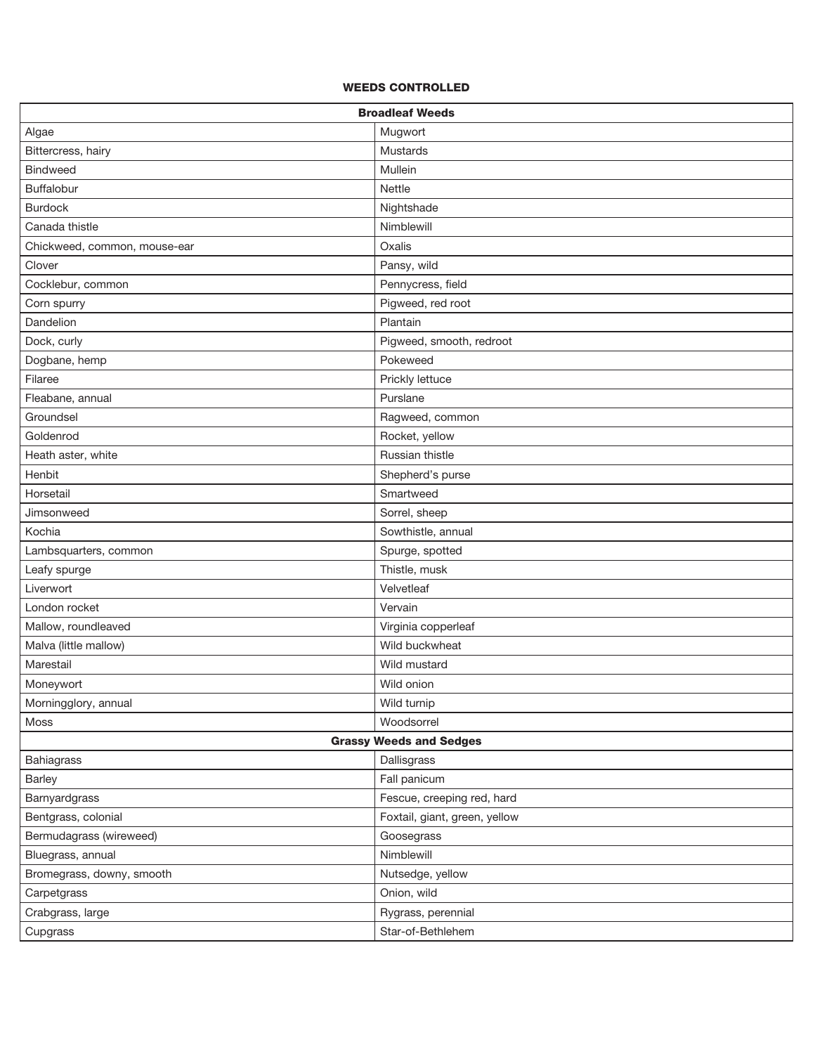#### **WEEDS CONTROLLED**

| <b>Broadleaf Weeds</b>         |                               |  |
|--------------------------------|-------------------------------|--|
| Algae                          | Mugwort                       |  |
| Bittercress, hairy             | Mustards                      |  |
| <b>Bindweed</b>                | Mullein                       |  |
| Buffalobur                     | <b>Nettle</b>                 |  |
| <b>Burdock</b>                 | Nightshade                    |  |
| Canada thistle                 | Nimblewill                    |  |
| Chickweed, common, mouse-ear   | Oxalis                        |  |
| Clover                         | Pansy, wild                   |  |
| Cocklebur, common              | Pennycress, field             |  |
| Corn spurry                    | Pigweed, red root             |  |
| Dandelion                      | Plantain                      |  |
| Dock, curly                    | Pigweed, smooth, redroot      |  |
| Dogbane, hemp                  | Pokeweed                      |  |
| Filaree                        | Prickly lettuce               |  |
| Fleabane, annual               | Purslane                      |  |
| Groundsel                      | Ragweed, common               |  |
| Goldenrod                      | Rocket, yellow                |  |
| Heath aster, white             | Russian thistle               |  |
| Henbit                         | Shepherd's purse              |  |
| Horsetail                      | Smartweed                     |  |
| Jimsonweed                     | Sorrel, sheep                 |  |
| Kochia                         | Sowthistle, annual            |  |
| Lambsquarters, common          | Spurge, spotted               |  |
| Leafy spurge                   | Thistle, musk                 |  |
| Liverwort                      | Velvetleaf                    |  |
| London rocket                  | Vervain                       |  |
| Mallow, roundleaved            | Virginia copperleaf           |  |
| Malva (little mallow)          | Wild buckwheat                |  |
| Marestail                      | Wild mustard                  |  |
| Moneywort                      | Wild onion                    |  |
| Morningglory, annual           | Wild turnip                   |  |
| Moss                           | Woodsorrel                    |  |
| <b>Grassy Weeds and Sedges</b> |                               |  |
| Bahiagrass                     | Dallisgrass                   |  |
| <b>Barley</b>                  | Fall panicum                  |  |
| Barnyardgrass                  | Fescue, creeping red, hard    |  |
| Bentgrass, colonial            | Foxtail, giant, green, yellow |  |
| Bermudagrass (wireweed)        | Goosegrass                    |  |
| Bluegrass, annual              | Nimblewill                    |  |
| Bromegrass, downy, smooth      | Nutsedge, yellow              |  |
| Carpetgrass                    | Onion, wild                   |  |
| Crabgrass, large               | Rygrass, perennial            |  |
| Cupgrass                       | Star-of-Bethlehem             |  |